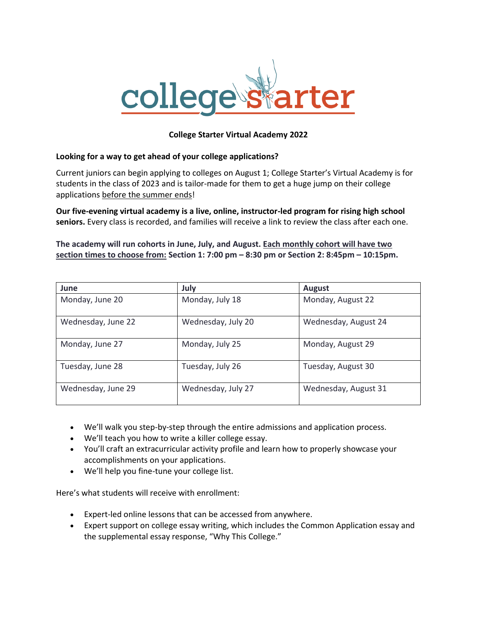

## **College Starter Virtual Academy 2022**

## **Looking for a way to get ahead of your college applications?**

Current juniors can begin applying to colleges on August 1; College Starter's Virtual Academy is for students in the class of 2023 and is tailor-made for them to get a huge jump on their college applications before the summer ends!

**Our five-evening virtual academy is a live, online, instructor-led program for rising high school seniors.** Every class is recorded, and families will receive a link to review the class after each one.

**The academy will run cohorts in June, July, and August. Each monthly cohort will have two section times to choose from: Section 1: 7:00 pm – 8:30 pm or Section 2: 8:45pm – 10:15pm.**

| June               | July               | <b>August</b>        |
|--------------------|--------------------|----------------------|
| Monday, June 20    | Monday, July 18    | Monday, August 22    |
| Wednesday, June 22 | Wednesday, July 20 | Wednesday, August 24 |
| Monday, June 27    | Monday, July 25    | Monday, August 29    |
| Tuesday, June 28   | Tuesday, July 26   | Tuesday, August 30   |
| Wednesday, June 29 | Wednesday, July 27 | Wednesday, August 31 |

- We'll walk you step-by-step through the entire admissions and application process.
- We'll teach you how to write a killer college essay.
- You'll craft an extracurricular activity profile and learn how to properly showcase your accomplishments on your applications.
- We'll help you fine-tune your college list.

Here's what students will receive with enrollment:

- Expert-led online lessons that can be accessed from anywhere.
- Expert support on college essay writing, which includes the Common Application essay and the supplemental essay response, "Why This College."